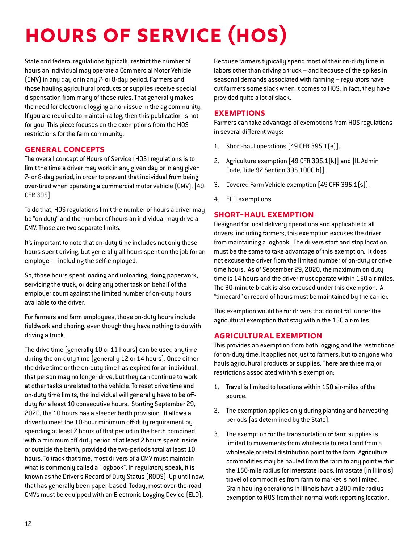# **Hours of Service (HOS)**

State and federal regulations typically restrict the number of hours an individual may operate a Commercial Motor Vehicle (CMV) in any day or in any 7- or 8-day period. Farmers and those hauling agricultural products or supplies receive special dispensation from many of those rules. That generally makes the need for electronic logging a non-issue in the ag community. If you are required to maintain a log, then this publication is not for you. This piece focuses on the exemptions from the HOS restrictions for the farm community.

#### **General Concepts**

The overall concept of Hours of Service (HOS) regulations is to limit the time a driver may work in any given day or in any given 7- or 8-day period, in order to prevent that individual from being over-tired when operating a commercial motor vehicle (CMV). [49 CFR 395]

To do that, HOS regulations limit the number of hours a driver may be "on duty" and the number of hours an individual may drive a CMV. Those are two separate limits.

It's important to note that on-duty time includes not only those hours spent driving, but generally all hours spent on the job for an employer – including the self-employed.

So, those hours spent loading and unloading, doing paperwork, servicing the truck, or doing any other task on behalf of the employer count against the limited number of on-duty hours available to the driver.

For farmers and farm employees, those on-duty hours include fieldwork and choring, even though they have nothing to do with driving a truck.

The drive time (generally 10 or 11 hours) can be used anytime during the on-duty time (generally 12 or 14 hours). Once either the drive time or the on-duty time has expired for an individual, that person may no longer drive, but they can continue to work at other tasks unrelated to the vehicle. To reset drive time and on-duty time limits, the individual will generally have to be offduty for a least 10 consecutive hours. Starting September 29, 2020, the 10 hours has a sleeper berth provision. It allows a driver to meet the 10-hour minimum off-duty requirement by spending at least 7 hours of that period in the berth combined with a minimum off duty period of at least 2 hours spent inside or outside the berth, provided the two-periods total at least 10 hours. To track that time, most drivers of a CMV must maintain what is commonly called a "logbook". In regulatory speak, it is known as the Driver's Record of Duty Status (RODS). Up until now, that has generally been paper-based. Today, most over-the-road CMVs must be equipped with an Electronic Logging Device (ELD).

Because farmers typically spend most of their on-duty time in labors other than driving a truck – and because of the spikes in seasonal demands associated with farming – regulators have cut farmers some slack when it comes to HOS. In fact, they have provided quite a lot of slack.

# **Exemptions**

Farmers can take advantage of exemptions from HOS regulations in several different ways:

- 1. Short-haul operations [49 CFR 395.1(e)].
- 2. Agriculture exemption [49 CFR 395.1(k)] and [IL Admin Code, Title 92 Section 395.1000 b)].
- 3. Covered Farm Vehicle exemption [49 CFR 395.1(s)].
- 4. ELD exemptions.

#### **Short-Haul Exemption**

Designed for local delivery operations and applicable to all drivers, including farmers, this exemption excuses the driver from maintaining a logbook. The drivers start and stop location must be the same to take advantage of this exemption. It does not excuse the driver from the limited number of on-duty or drive time hours. As of September 29, 2020, the maximum on duty time is 14 hours and the driver must operate within 150 air-miles. The 30-minute break is also excused under this exemption. A "timecard" or record of hours must be maintained by the carrier.

This exemption would be for drivers that do not fall under the agricultural exemption that stay within the 150 air-miles.

#### **Agricultural Exemption**

This provides an exemption from both logging and the restrictions for on-duty time. It applies not just to farmers, but to anyone who hauls agricultural products or supplies. There are three major restrictions associated with this exemption:

- 1. Travel is limited to locations within 150 air-miles of the source.
- 2. The exemption applies only during planting and harvesting periods (as determined by the State).
- 3. The exemption for the transportation of farm supplies is limited to movements from wholesale to retail and from a wholesale or retail distribution point to the farm. Agriculture commodities may be hauled from the farm to any point within the 150-mile radius for interstate loads. Intrastate (in Illinois) travel of commodities from farm to market is not limited. Grain hauling operations in Illinois have a 200-mile radius exemption to HOS from their normal work reporting location.